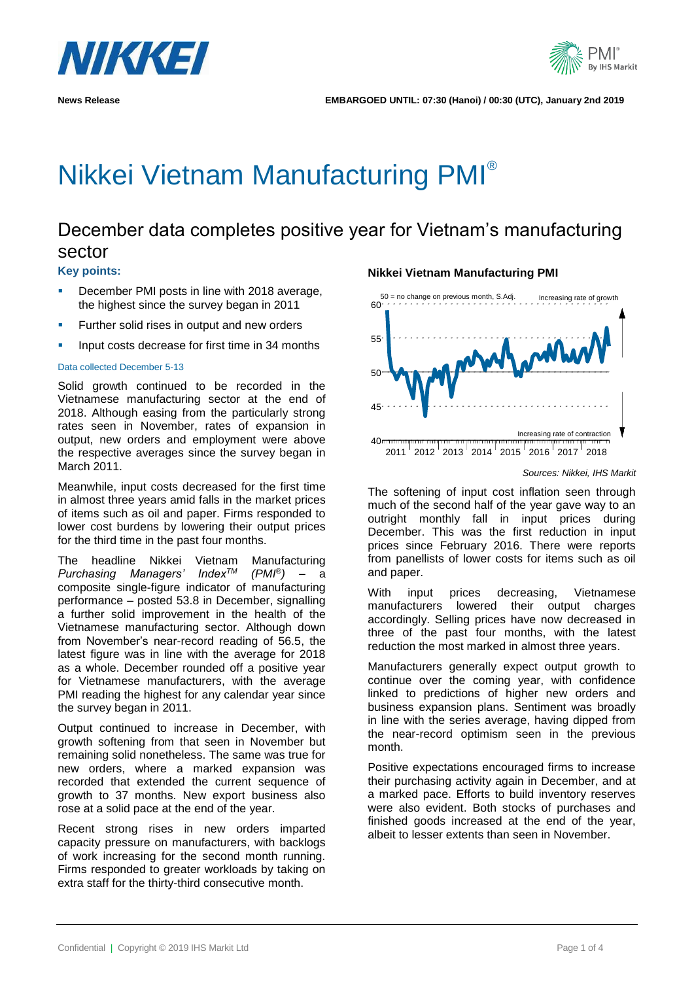

# Nikkei Vietnam Manufacturing PMI®

# December data completes positive year for Vietnam's manufacturing sector

## **Key points:**

- December PMI posts in line with 2018 average, the highest since the survey began in 2011
- **EXECUTE:** Further solid rises in output and new orders
- Input costs decrease for first time in 34 months

## Data collected December 5-13

Solid growth continued to be recorded in the Vietnamese manufacturing sector at the end of 2018. Although easing from the particularly strong rates seen in November, rates of expansion in output, new orders and employment were above the respective averages since the survey began in March 2011.

Meanwhile, input costs decreased for the first time in almost three years amid falls in the market prices of items such as oil and paper. Firms responded to lower cost burdens by lowering their output prices for the third time in the past four months.

The headline Nikkei Vietnam Manufacturing  $P$ urchasing Managers' Index<sup>TM</sup> *)* – a composite single-figure indicator of manufacturing performance – posted 53.8 in December, signalling a further solid improvement in the health of the Vietnamese manufacturing sector. Although down from November's near-record reading of 56.5, the latest figure was in line with the average for 2018 as a whole. December rounded off a positive year for Vietnamese manufacturers, with the average PMI reading the highest for any calendar year since the survey began in 2011.

Output continued to increase in December, with growth softening from that seen in November but remaining solid nonetheless. The same was true for new orders, where a marked expansion was recorded that extended the current sequence of growth to 37 months. New export business also rose at a solid pace at the end of the year.

Recent strong rises in new orders imparted capacity pressure on manufacturers, with backlogs of work increasing for the second month running. Firms responded to greater workloads by taking on extra staff for the thirty-third consecutive month.

## **Nikkei Vietnam Manufacturing PMI**



*Sources: Nikkei, IHS Markit*

The softening of input cost inflation seen through much of the second half of the year gave way to an outright monthly fall in input prices during December. This was the first reduction in input prices since February 2016. There were reports from panellists of lower costs for items such as oil and paper.

With input prices decreasing, Vietnamese manufacturers lowered their output charges accordingly. Selling prices have now decreased in three of the past four months, with the latest reduction the most marked in almost three years.

Manufacturers generally expect output growth to continue over the coming year, with confidence linked to predictions of higher new orders and business expansion plans. Sentiment was broadly in line with the series average, having dipped from the near-record optimism seen in the previous month.

Positive expectations encouraged firms to increase their purchasing activity again in December, and at a marked pace. Efforts to build inventory reserves were also evident. Both stocks of purchases and finished goods increased at the end of the year, albeit to lesser extents than seen in November.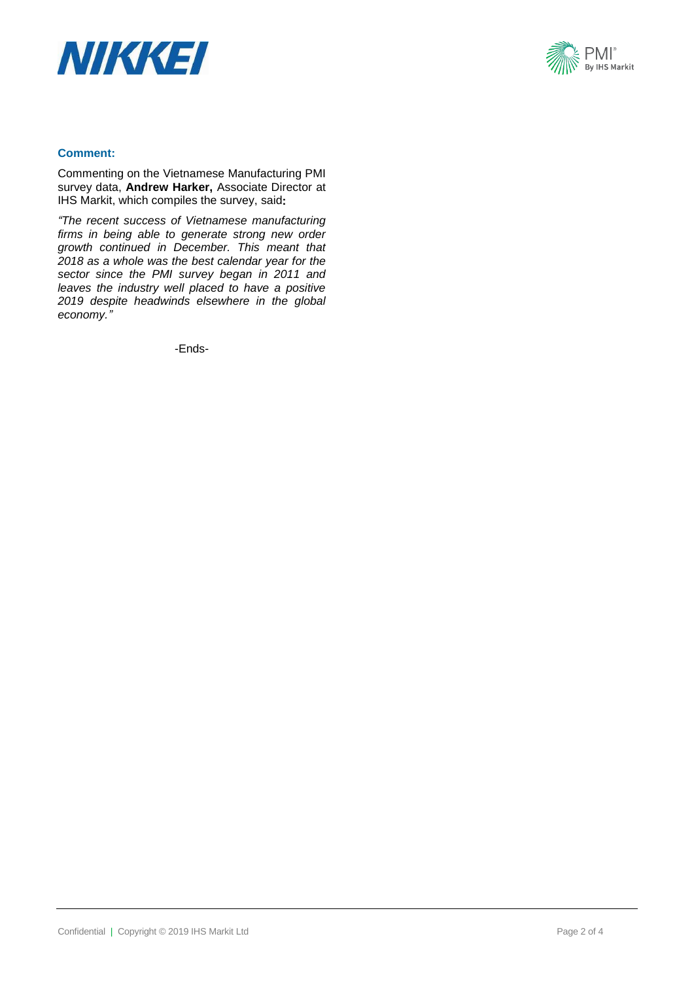



## **Comment:**

Commenting on the Vietnamese Manufacturing PMI survey data, **Andrew Harker,** Associate Director at IHS Markit, which compiles the survey, said**:**

*"The recent success of Vietnamese manufacturing firms in being able to generate strong new order growth continued in December. This meant that 2018 as a whole was the best calendar year for the sector since the PMI survey began in 2011 and leaves the industry well placed to have a positive 2019 despite headwinds elsewhere in the global economy."*

-Ends-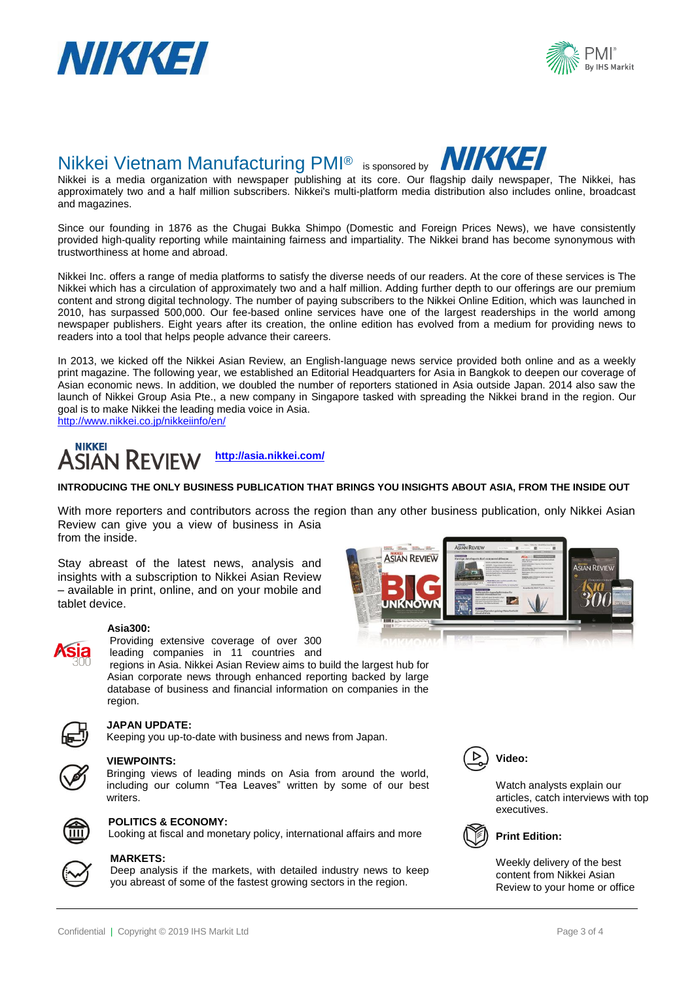



## Nikkei Vietnam Manufacturing PMI® is sponsored by

Nikkei is a media organization with newspaper publishing at its core. Our flagship daily newspaper, The Nikkei, has approximately two and a half million subscribers. Nikkei's multi-platform media distribution also includes online, broadcast and magazines.

Since our founding in 1876 as the Chugai Bukka Shimpo (Domestic and Foreign Prices News), we have consistently provided high-quality reporting while maintaining fairness and impartiality. The Nikkei brand has become synonymous with trustworthiness at home and abroad.

Nikkei Inc. offers a range of media platforms to satisfy the diverse needs of our readers. At the core of these services is The Nikkei which has a circulation of approximately two and a half million. Adding further depth to our offerings are our premium content and strong digital technology. The number of paying subscribers to the Nikkei Online Edition, which was launched in 2010, has surpassed 500,000. Our fee-based online services have one of the largest readerships in the world among newspaper publishers. Eight years after its creation, the online edition has evolved from a medium for providing news to readers into a tool that helps people advance their careers.

In 2013, we kicked off the Nikkei Asian Review, an English-language news service provided both online and as a weekly print magazine. The following year, we established an Editorial Headquarters for Asia in Bangkok to deepen our coverage of Asian economic news. In addition, we doubled the number of reporters stationed in Asia outside Japan. 2014 also saw the launch of Nikkei Group Asia Pte., a new company in Singapore tasked with spreading the Nikkei brand in the region. Our goal is to make Nikkei the leading media voice in Asia.

<http://www.nikkei.co.jp/nikkeiinfo/en/>



## **INTRODUCING THE ONLY BUSINESS PUBLICATION THAT BRINGS YOU INSIGHTS ABOUT ASIA, FROM THE INSIDE OUT**

With more reporters and contributors across the region than any other business publication, only Nikkei Asian Review can give you a view of business in Asia from the inside.

Stay abreast of the latest news, analysis and insights with a subscription to Nikkei Asian Review – available in print, online, and on your mobile and tablet device.

## **Asia300:**



Providing extensive coverage of over 300 leading companies in 11 countries and

regions in Asia. Nikkei Asian Review aims to build the largest hub for Asian corporate news through enhanced reporting backed by large database of business and financial information on companies in the region.



## **JAPAN UPDATE:**

Keeping you up-to-date with business and news from Japan.



## **VIEWPOINTS:**

Bringing views of leading minds on Asia from around the world, including our column "Tea Leaves" written by some of our best writers.



## **POLITICS & ECONOMY:**

Looking at fiscal and monetary policy, international affairs and more



### **MARKETS:**

Deep analysis if the markets, with detailed industry news to keep you abreast of some of the fastest growing sectors in the region.



NIKKI SI



Watch analysts explain our articles, catch interviews with top executives.



## **Print Edition:**

Weekly delivery of the best content from Nikkei Asian Review to your home or office